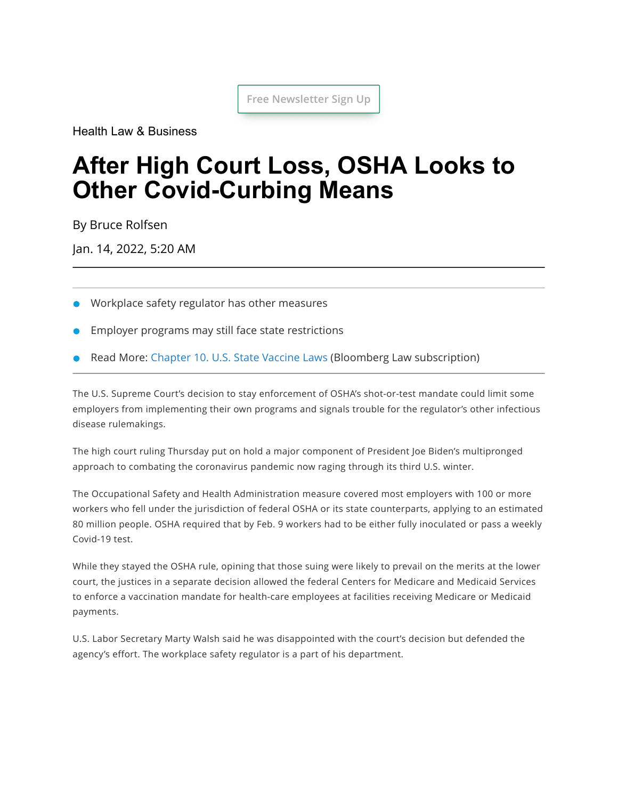**Free Newsletter Sign Up**

[Health Law & Business](https://news.bloomberglaw.com/health-law-and-business/)

# **After High Court Loss, OSHA Looks to Other Covid-Curbing Means**

By [Bruce Rolfsen](mailto:BRolfsen@bloomberglaw.com)

Jan. 14, 2022, 5:20 AM

- Workplace safety regulator has other measures
- Employer programs may still face state restrictions
- Read More: [Chapter](https://www.bloomberglaw.com/citation/bn:vvil_10) 10. U.S. State Vaccine Laws (Bloomberg Law subscription)

The U.S. Supreme Court's decision to stay enforcement of OSHA's shot-or-test mandate could limit some employers from implementing their own programs and signals trouble for the regulator's other infectious disease rulemakings.

The high court [ruling](https://www.supremecourt.gov/opinions/21pdf/21a244_hgci.pdf) Thursday put on hold a major component of President Joe Biden's multipronged approach to combating the coronavirus pandemic now raging through its third U.S. winter.

The Occupational Safety and Health Administration [measure](https://www.osha.gov/coronavirus/ets2) covered most employers with 100 or more workers who fell under the jurisdiction of federal OSHA or its state counterparts, applying to an estimated 80 million people. OSHA required that by Feb. 9 workers had to be either fully inoculated or pass a weekly Covid-19 test.

While they [stayed](https://news.bloomberglaw.com/us-law-week/supreme-court-halts-osha-rule-that-covered-80-million-workers) the OSHA rule, opining that those suing were likely to prevail on the merits at the lower court, the justices in a separate decision allowed the federal Centers for Medicare and Medicaid Services to enforce a vaccination mandate for health-care employees at facilities receiving Medicare or Medicaid payments.

U.S. Labor Secretary Marty Walsh said he was disappointed with the court's decision but defended the agency's effort. The workplace safety regulator is a part of his department.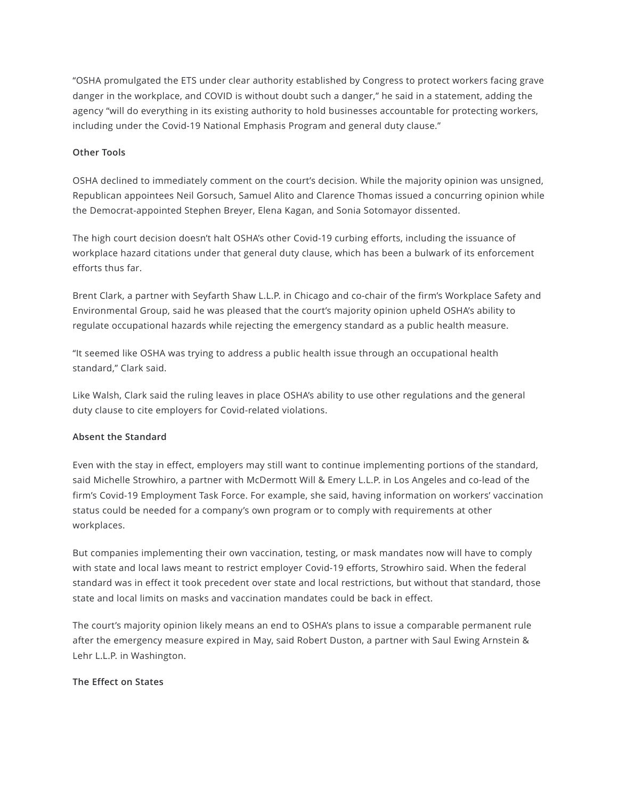"OSHA promulgated the ETS under clear authority established by Congress to protect workers facing grave danger in the workplace, and COVID is without doubt such a danger," he said in a statement, adding the agency "will do everything in its existing authority to hold businesses accountable for protecting workers, including under the Covid-19 National [Emphasis](https://www.osha.gov/enforcement/directives/dir-2021-03cpl-03) Program and [general](https://www.osha.gov/laws-regs/oshact/section5-duties) duty clause."

#### **Other Tools**

OSHA declined to immediately comment on the court's decision. While the majority opinion was unsigned, Republican appointees Neil Gorsuch, Samuel Alito and Clarence Thomas issued a concurring opinion while the Democrat-appointed Stephen Breyer, Elena Kagan, and Sonia Sotomayor dissented.

The high court decision doesn't halt OSHA's other Covid-19 curbing efforts, including the issuance of workplace hazard citations under that general duty clause, which has been a bulwark of its enforcement efforts thus far.

[Brent](https://www.seyfarth.com/people/brent-i-clark.html) Clark, a partner with Seyfarth Shaw L.L.P. in Chicago and co-chair of the firm's Workplace Safety and Environmental Group, said he was pleased that the court's majority opinion upheld OSHA's ability to regulate occupational hazards while rejecting the emergency standard as a public health measure.

"It seemed like OSHA was trying to address a public health issue through an occupational health standard," Clark said.

Like Walsh, Clark said the ruling leaves in place OSHA's ability to use other regulations and the general duty clause to cite employers for Covid-related violations.

### **Absent the Standard**

Even with the stay in effect, employers may still want to continue implementing portions of the standard, said Michelle [Strowhiro,](https://www.mwe.com/people/strowhiro-michelle/) a partner with McDermott Will & Emery L.L.P. in Los Angeles and co-lead of the firm's Covid-19 Employment Task Force. For example, she said, having information on workers' vaccination status could be needed for a company's own program or to comply with requirements at other workplaces.

But companies implementing their own vaccination, testing, or mask mandates now will have to comply with state and local laws meant to restrict employer Covid-19 efforts, Strowhiro said. When the federal standard was in effect it took precedent over state and local restrictions, but without that standard, those state and local limits on masks and vaccination mandates could be back in effect.

The court's majority opinion likely means an end to OSHA's plans to issue a comparable permanent rule after the emergency measure expired in May, said Robert [Duston,](https://www.saul.com/attorneys/robert-l-duston) a partner with Saul Ewing Arnstein & Lehr L.L.P. in Washington.

#### **The Effect on States**